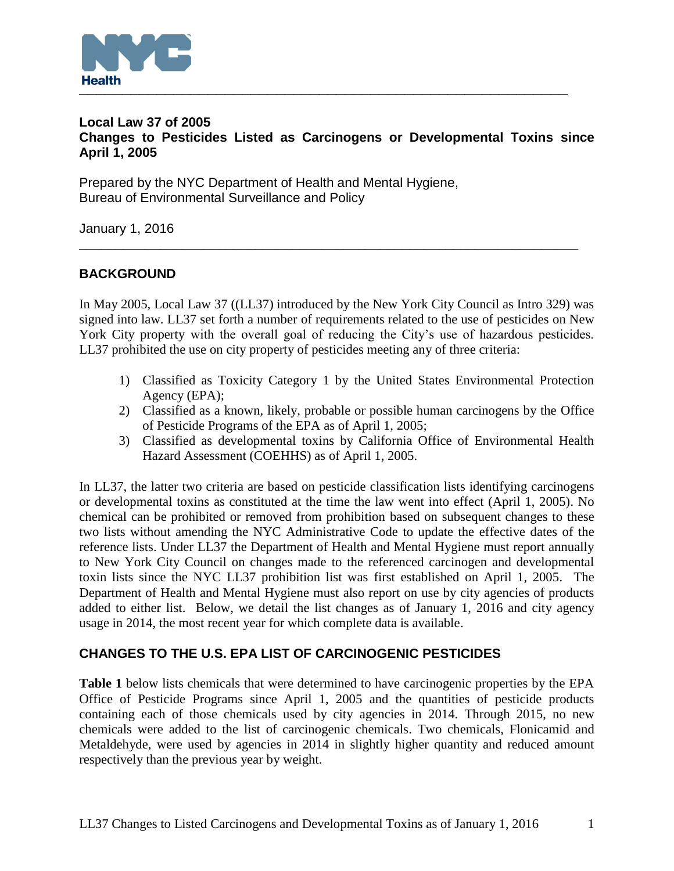

### **Local Law 37 of 2005 Changes to Pesticides Listed as Carcinogens or Developmental Toxins since April 1, 2005**

Prepared by the NYC Department of Health and Mental Hygiene, Bureau of Environmental Surveillance and Policy

January 1, 2016

# **BACKGROUND**

In May 2005, Local Law 37 ((LL37) introduced by the New York City Council as Intro 329) was signed into law. LL37 set forth a number of requirements related to the use of pesticides on New York City property with the overall goal of reducing the City's use of hazardous pesticides. LL37 prohibited the use on city property of pesticides meeting any of three criteria:

**\_\_\_\_\_\_\_\_\_\_\_\_\_\_\_\_\_\_\_\_\_\_\_\_\_\_\_\_\_\_\_\_\_\_\_\_\_\_\_\_\_\_\_\_\_\_\_\_\_\_\_\_\_\_\_\_\_\_\_\_\_\_\_\_\_\_\_\_**

- 1) Classified as Toxicity Category 1 by the United States Environmental Protection Agency (EPA);
- 2) Classified as a known, likely, probable or possible human carcinogens by the Office of Pesticide Programs of the EPA as of April 1, 2005;
- 3) Classified as developmental toxins by California Office of Environmental Health Hazard Assessment (COEHHS) as of April 1, 2005.

In LL37, the latter two criteria are based on pesticide classification lists identifying carcinogens or developmental toxins as constituted at the time the law went into effect (April 1, 2005). No chemical can be prohibited or removed from prohibition based on subsequent changes to these two lists without amending the NYC Administrative Code to update the effective dates of the reference lists. Under LL37 the Department of Health and Mental Hygiene must report annually to New York City Council on changes made to the referenced carcinogen and developmental toxin lists since the NYC LL37 prohibition list was first established on April 1, 2005. The Department of Health and Mental Hygiene must also report on use by city agencies of products added to either list. Below, we detail the list changes as of January 1, 2016 and city agency usage in 2014, the most recent year for which complete data is available.

## **CHANGES TO THE U.S. EPA LIST OF CARCINOGENIC PESTICIDES**

**Table 1** below lists chemicals that were determined to have carcinogenic properties by the EPA Office of Pesticide Programs since April 1, 2005 and the quantities of pesticide products containing each of those chemicals used by city agencies in 2014. Through 2015, no new chemicals were added to the list of carcinogenic chemicals. Two chemicals, Flonicamid and Metaldehyde, were used by agencies in 2014 in slightly higher quantity and reduced amount respectively than the previous year by weight.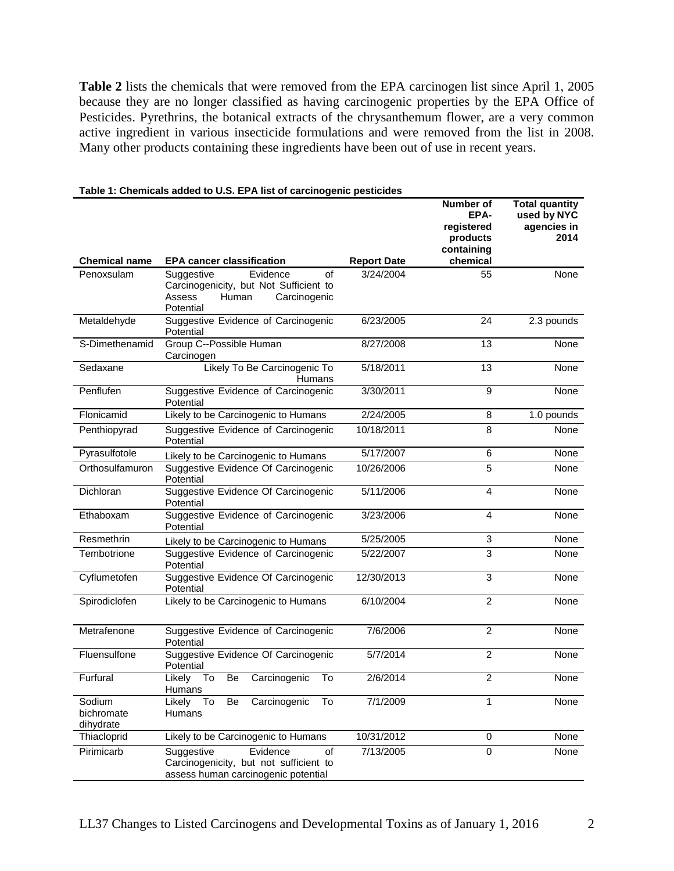**Table 2** lists the chemicals that were removed from the EPA carcinogen list since April 1, 2005 because they are no longer classified as having carcinogenic properties by the EPA Office of Pesticides. Pyrethrins, the botanical extracts of the chrysanthemum flower, are a very common active ingredient in various insecticide formulations and were removed from the list in 2008. Many other products containing these ingredients have been out of use in recent years.

|                                   |                                                                                                                        |                    | Number of<br>EPA-<br>registered<br>products<br>containing | <b>Total quantity</b><br>used by NYC<br>agencies in<br>2014 |
|-----------------------------------|------------------------------------------------------------------------------------------------------------------------|--------------------|-----------------------------------------------------------|-------------------------------------------------------------|
| <b>Chemical name</b>              | <b>EPA cancer classification</b>                                                                                       | <b>Report Date</b> | chemical                                                  |                                                             |
| Penoxsulam                        | Evidence<br>Suggestive<br>of<br>Carcinogenicity, but Not Sufficient to<br>Assess<br>Human<br>Carcinogenic<br>Potential | 3/24/2004          | 55                                                        | None                                                        |
| Metaldehyde                       | Suggestive Evidence of Carcinogenic<br>Potential                                                                       | 6/23/2005          | 24                                                        | 2.3 pounds                                                  |
| S-Dimethenamid                    | Group C--Possible Human<br>Carcinogen                                                                                  | 8/27/2008          | 13                                                        | None                                                        |
| Sedaxane                          | Likely To Be Carcinogenic To<br><b>Humans</b>                                                                          | 5/18/2011          | 13                                                        | None                                                        |
| Penflufen                         | Suggestive Evidence of Carcinogenic<br>Potential                                                                       | 3/30/2011          | 9                                                         | None                                                        |
| Flonicamid                        | Likely to be Carcinogenic to Humans                                                                                    | 2/24/2005          | 8                                                         | 1.0 pounds                                                  |
| Penthiopyrad                      | Suggestive Evidence of Carcinogenic<br>Potential                                                                       | 10/18/2011         | 8                                                         | None                                                        |
| Pyrasulfotole                     | Likely to be Carcinogenic to Humans                                                                                    | 5/17/2007          | 6                                                         | None                                                        |
| Orthosulfamuron                   | Suggestive Evidence Of Carcinogenic<br>Potential                                                                       | 10/26/2006         | 5                                                         | None                                                        |
| Dichloran                         | Suggestive Evidence Of Carcinogenic<br>Potential                                                                       | 5/11/2006          | $\overline{4}$                                            | None                                                        |
| Ethaboxam                         | Suggestive Evidence of Carcinogenic<br>Potential                                                                       | 3/23/2006          | $\overline{4}$                                            | None                                                        |
| Resmethrin                        | Likely to be Carcinogenic to Humans                                                                                    | 5/25/2005          | 3                                                         | None                                                        |
| Tembotrione                       | Suggestive Evidence of Carcinogenic<br>Potential                                                                       | 5/22/2007          | 3                                                         | None                                                        |
| Cyflumetofen                      | Suggestive Evidence Of Carcinogenic<br>Potential                                                                       | 12/30/2013         | 3                                                         | None                                                        |
| Spirodiclofen                     | Likely to be Carcinogenic to Humans                                                                                    | 6/10/2004          | $\overline{2}$                                            | None                                                        |
| Metrafenone                       | Suggestive Evidence of Carcinogenic<br>Potential                                                                       | 7/6/2006           | $\overline{2}$                                            | None                                                        |
| Fluensulfone                      | Suggestive Evidence Of Carcinogenic<br>Potential                                                                       | 5/7/2014           | $\overline{c}$                                            | None                                                        |
| Furfural                          | Be<br>Likely<br>To<br>Carcinogenic<br>To<br><b>Humans</b>                                                              | 2/6/2014           | $\overline{c}$                                            | None                                                        |
| Sodium<br>bichromate<br>dihydrate | Carcinogenic<br>Be<br>To<br>Likely To<br>Humans                                                                        | 7/1/2009           | 1                                                         | None                                                        |
| Thiacloprid                       | Likely to be Carcinogenic to Humans                                                                                    | 10/31/2012         | $\mathsf{O}\xspace$                                       | None                                                        |
| Pirimicarb                        | Evidence<br>Suggestive<br>of<br>Carcinogenicity, but not sufficient to<br>assess human carcinogenic potential          | 7/13/2005          | $\mathbf 0$                                               | None                                                        |

#### **Table 1: Chemicals added to U.S. EPA list of carcinogenic pesticides**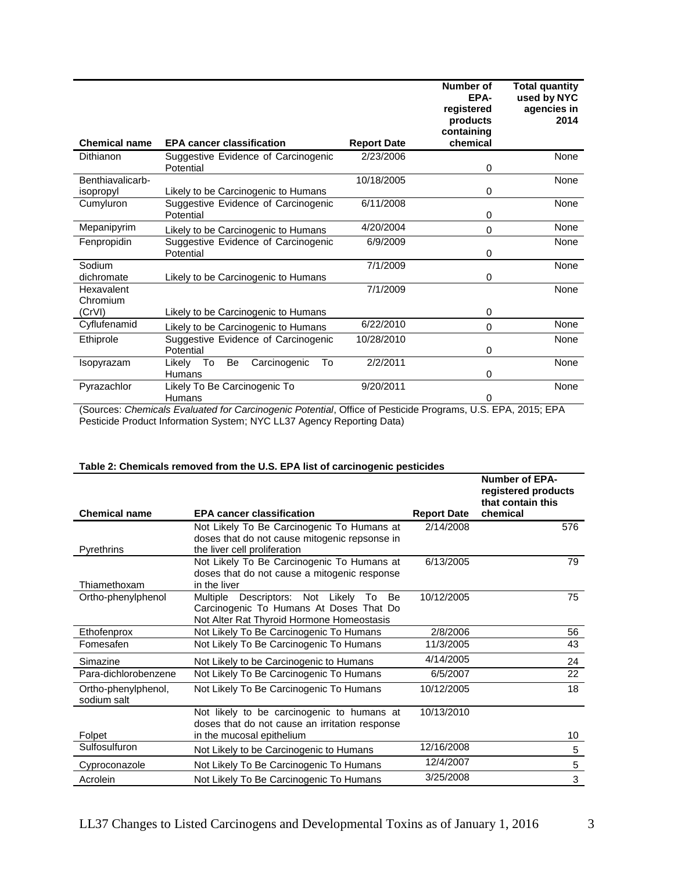|                                                  |                                                                                                                                                                    | Number of<br>EPA-<br>registered<br>products<br>containing            | <b>Total quantity</b><br>used by NYC<br>agencies in<br>2014 |
|--------------------------------------------------|--------------------------------------------------------------------------------------------------------------------------------------------------------------------|----------------------------------------------------------------------|-------------------------------------------------------------|
|                                                  |                                                                                                                                                                    |                                                                      | None                                                        |
| Potential                                        |                                                                                                                                                                    | 0                                                                    |                                                             |
|                                                  | 10/18/2005                                                                                                                                                         |                                                                      | <b>None</b>                                                 |
| Likely to be Carcinogenic to Humans              |                                                                                                                                                                    | 0                                                                    |                                                             |
| Suggestive Evidence of Carcinogenic              | 6/11/2008                                                                                                                                                          |                                                                      | None                                                        |
|                                                  |                                                                                                                                                                    |                                                                      |                                                             |
| Likely to be Carcinogenic to Humans              |                                                                                                                                                                    | $\Omega$                                                             | <b>None</b>                                                 |
| Suggestive Evidence of Carcinogenic              | 6/9/2009                                                                                                                                                           |                                                                      | None                                                        |
|                                                  |                                                                                                                                                                    |                                                                      | <b>None</b>                                                 |
| Likely to be Carcinogenic to Humans              |                                                                                                                                                                    | 0                                                                    |                                                             |
|                                                  | 7/1/2009                                                                                                                                                           |                                                                      | None                                                        |
|                                                  |                                                                                                                                                                    | 0                                                                    |                                                             |
| Likely to be Carcinogenic to Humans              | 6/22/2010                                                                                                                                                          | 0                                                                    | <b>None</b>                                                 |
| Suggestive Evidence of Carcinogenic<br>Potential | 10/28/2010                                                                                                                                                         | 0                                                                    | None                                                        |
| To<br>Be<br>To<br>Likelv                         | 2/2/2011                                                                                                                                                           |                                                                      | None                                                        |
| Humans                                           |                                                                                                                                                                    | 0                                                                    |                                                             |
| Likely To Be Carcinogenic To                     | 9/20/2011                                                                                                                                                          |                                                                      | None                                                        |
| Humans                                           |                                                                                                                                                                    | 0                                                                    | $- - -$                                                     |
|                                                  | <b>EPA cancer classification</b><br>Suggestive Evidence of Carcinogenic<br>Potential<br>Potential<br>Likely to be Carcinogenic to Humans<br>Carcinogenic<br>$\sim$ | <b>Report Date</b><br>2/23/2006<br>4/20/2004<br>7/1/2009<br>$\cdots$ | chemical<br>0<br>0<br>$- - -$                               |

(Sources: *Chemicals Evaluated for Carcinogenic Potential*, Office of Pesticide Programs, U.S. EPA, 2015; EPA Pesticide Product Information System; NYC LL37 Agency Reporting Data)

|                                    |                                                                                                                             |                    | <b>Number of EPA-</b><br>registered products<br>that contain this |
|------------------------------------|-----------------------------------------------------------------------------------------------------------------------------|--------------------|-------------------------------------------------------------------|
| <b>Chemical name</b>               | <b>EPA cancer classification</b>                                                                                            | <b>Report Date</b> | chemical                                                          |
| Pyrethrins                         | Not Likely To Be Carcinogenic To Humans at<br>doses that do not cause mitogenic repsonse in<br>the liver cell proliferation | 2/14/2008          | 576                                                               |
|                                    | Not Likely To Be Carcinogenic To Humans at                                                                                  | 6/13/2005          | 79                                                                |
|                                    | doses that do not cause a mitogenic response                                                                                |                    |                                                                   |
| Thiamethoxam                       | in the liver                                                                                                                |                    |                                                                   |
| Ortho-phenylphenol                 | Multiple Descriptors: Not Likely<br>Be<br>To                                                                                | 10/12/2005         | 75                                                                |
|                                    | Carcinogenic To Humans At Doses That Do                                                                                     |                    |                                                                   |
|                                    | Not Alter Rat Thyroid Hormone Homeostasis                                                                                   |                    |                                                                   |
| Ethofenprox                        | Not Likely To Be Carcinogenic To Humans                                                                                     | 2/8/2006           | 56                                                                |
| Fomesafen                          | Not Likely To Be Carcinogenic To Humans                                                                                     | 11/3/2005          | 43                                                                |
| Simazine                           | Not Likely to be Carcinogenic to Humans                                                                                     | 4/14/2005          | 24                                                                |
| Para-dichlorobenzene               | Not Likely To Be Carcinogenic To Humans                                                                                     | 6/5/2007           | 22                                                                |
| Ortho-phenylphenol,<br>sodium salt | Not Likely To Be Carcinogenic To Humans                                                                                     | 10/12/2005         | 18                                                                |
|                                    | Not likely to be carcinogenic to humans at<br>doses that do not cause an irritation response                                | 10/13/2010         |                                                                   |
| Folpet                             | in the mucosal epithelium                                                                                                   |                    | 10                                                                |
| Sulfosulfuron                      | Not Likely to be Carcinogenic to Humans                                                                                     | 12/16/2008         | 5                                                                 |
| Cyproconazole                      | Not Likely To Be Carcinogenic To Humans                                                                                     | 12/4/2007          | 5                                                                 |
| Acrolein                           | Not Likely To Be Carcinogenic To Humans                                                                                     | 3/25/2008          | 3                                                                 |

### **Table 2: Chemicals removed from the U.S. EPA list of carcinogenic pesticides**